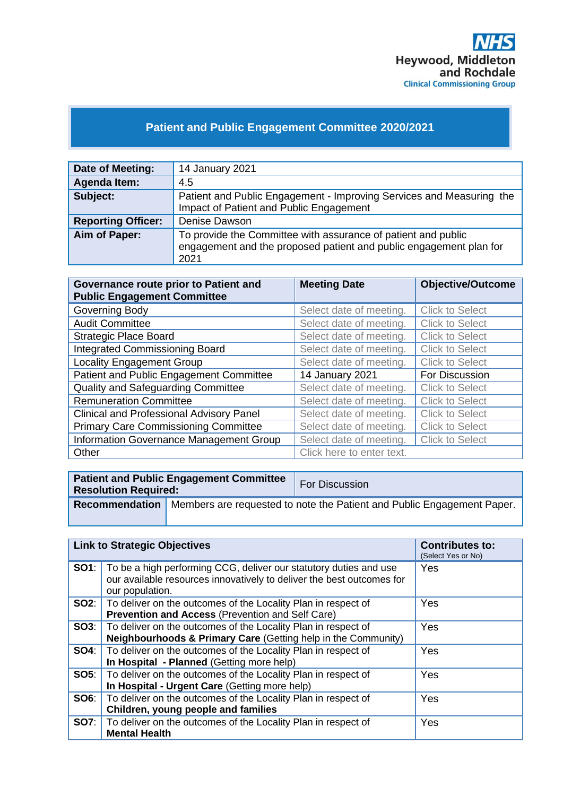

# **Patient and Public Engagement Committee 2020/2021**

| Date of Meeting:          | 14 January 2021                                                                                                                             |
|---------------------------|---------------------------------------------------------------------------------------------------------------------------------------------|
| Agenda Item:              | 4.5                                                                                                                                         |
| Subject:                  | Patient and Public Engagement - Improving Services and Measuring the<br>Impact of Patient and Public Engagement                             |
| <b>Reporting Officer:</b> | Denise Dawson                                                                                                                               |
| Aim of Paper:             | To provide the Committee with assurance of patient and public<br>engagement and the proposed patient and public engagement plan for<br>2021 |

| Governance route prior to Patient and<br><b>Public Engagement Committee</b> | <b>Meeting Date</b>       | <b>Objective/Outcome</b> |
|-----------------------------------------------------------------------------|---------------------------|--------------------------|
| Governing Body                                                              | Select date of meeting.   | <b>Click to Select</b>   |
| <b>Audit Committee</b>                                                      | Select date of meeting.   | <b>Click to Select</b>   |
| <b>Strategic Place Board</b>                                                | Select date of meeting.   | <b>Click to Select</b>   |
| <b>Integrated Commissioning Board</b>                                       | Select date of meeting.   | <b>Click to Select</b>   |
| <b>Locality Engagement Group</b>                                            | Select date of meeting.   | <b>Click to Select</b>   |
| Patient and Public Engagement Committee                                     | 14 January 2021           | For Discussion           |
| <b>Quality and Safeguarding Committee</b>                                   | Select date of meeting.   | <b>Click to Select</b>   |
| <b>Remuneration Committee</b>                                               | Select date of meeting.   | <b>Click to Select</b>   |
| <b>Clinical and Professional Advisory Panel</b>                             | Select date of meeting.   | <b>Click to Select</b>   |
| <b>Primary Care Commissioning Committee</b>                                 | Select date of meeting.   | <b>Click to Select</b>   |
| Information Governance Management Group                                     | Select date of meeting.   | <b>Click to Select</b>   |
| Other                                                                       | Click here to enter text. |                          |

| <b>Resolution Required:</b> | <b>Patient and Public Engagement Committee</b> | For Discussion                                                                          |
|-----------------------------|------------------------------------------------|-----------------------------------------------------------------------------------------|
|                             |                                                | Recommendation   Members are requested to note the Patient and Public Engagement Paper. |

| <b>Link to Strategic Objectives</b> |                                                                                                                                                                            | <b>Contributes to:</b><br>(Select Yes or No) |
|-------------------------------------|----------------------------------------------------------------------------------------------------------------------------------------------------------------------------|----------------------------------------------|
|                                     | <b>SO1</b> : To be a high performing CCG, deliver our statutory duties and use<br>our available resources innovatively to deliver the best outcomes for<br>our population. | Yes                                          |
|                                     | <b>SO2:</b>   To deliver on the outcomes of the Locality Plan in respect of<br>Prevention and Access (Prevention and Self Care)                                            | Yes                                          |
|                                     | <b>SO3:</b> To deliver on the outcomes of the Locality Plan in respect of<br><b>Neighbourhoods &amp; Primary Care (Getting help in the Community)</b>                      | Yes                                          |
|                                     | <b>SO4:</b> To deliver on the outcomes of the Locality Plan in respect of<br>In Hospital - Planned (Getting more help)                                                     | Yes                                          |
|                                     | <b>SO5:</b> To deliver on the outcomes of the Locality Plan in respect of<br>In Hospital - Urgent Care (Getting more help)                                                 | Yes                                          |
| SOS:                                | To deliver on the outcomes of the Locality Plan in respect of<br>Children, young people and families                                                                       | Yes                                          |
|                                     | <b>SO7:</b>   To deliver on the outcomes of the Locality Plan in respect of<br><b>Mental Health</b>                                                                        | Yes                                          |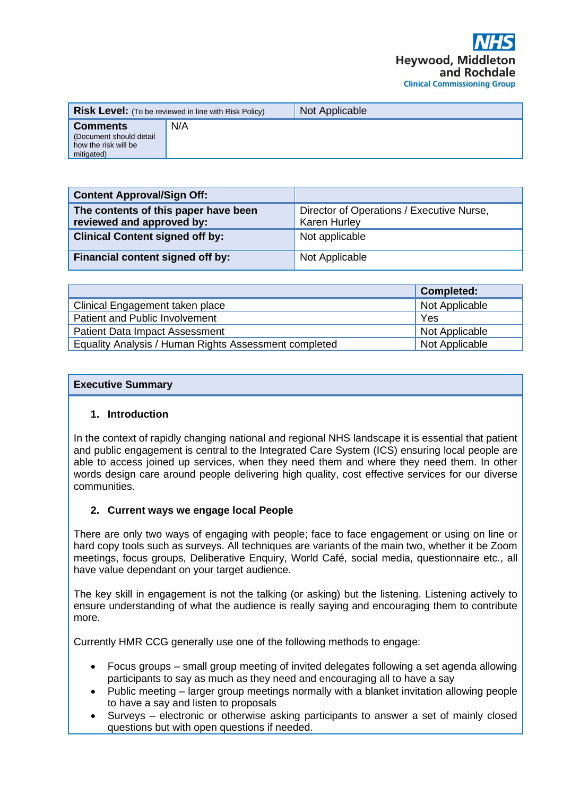|                                                                                  | <b>Risk Level:</b> (To be reviewed in line with Risk Policy) | Not Applicable |
|----------------------------------------------------------------------------------|--------------------------------------------------------------|----------------|
| <b>Comments</b><br>(Document should detail<br>how the risk will be<br>mitigated) | N/A                                                          |                |

| <b>Content Approval/Sign Off:</b>                                 |                                                                  |
|-------------------------------------------------------------------|------------------------------------------------------------------|
| The contents of this paper have been<br>reviewed and approved by: | Director of Operations / Executive Nurse,<br><b>Karen Hurley</b> |
| <b>Clinical Content signed off by:</b>                            | Not applicable                                                   |
| Financial content signed off by:                                  | Not Applicable                                                   |

|                                                       | <b>Completed:</b> |
|-------------------------------------------------------|-------------------|
| Clinical Engagement taken place                       | Not Applicable    |
| Patient and Public Involvement                        | Yes               |
| <b>Patient Data Impact Assessment</b>                 | Not Applicable    |
| Equality Analysis / Human Rights Assessment completed | Not Applicable    |

### **Executive Summary**

### **1. Introduction**

In the context of rapidly changing national and regional NHS landscape it is essential that patient and public engagement is central to the Integrated Care System (ICS) ensuring local people are able to access joined up services, when they need them and where they need them. In other words design care around people delivering high quality, cost effective services for our diverse communities.

# **2. Current ways we engage local People**

There are only two ways of engaging with people; face to face engagement or using on line or hard copy tools such as surveys. All techniques are variants of the main two, whether it be Zoom meetings, focus groups, Deliberative Enquiry, World Café, social media, questionnaire etc., all have value dependant on your target audience.

The key skill in engagement is not the talking (or asking) but the listening. Listening actively to ensure understanding of what the audience is really saying and encouraging them to contribute more.

Currently HMR CCG generally use one of the following methods to engage:

- Focus groups small group meeting of invited delegates following a set agenda allowing participants to say as much as they need and encouraging all to have a say
- Public meeting larger group meetings normally with a blanket invitation allowing people to have a say and listen to proposals
- Surveys electronic or otherwise asking participants to answer a set of mainly closed questions but with open questions if needed.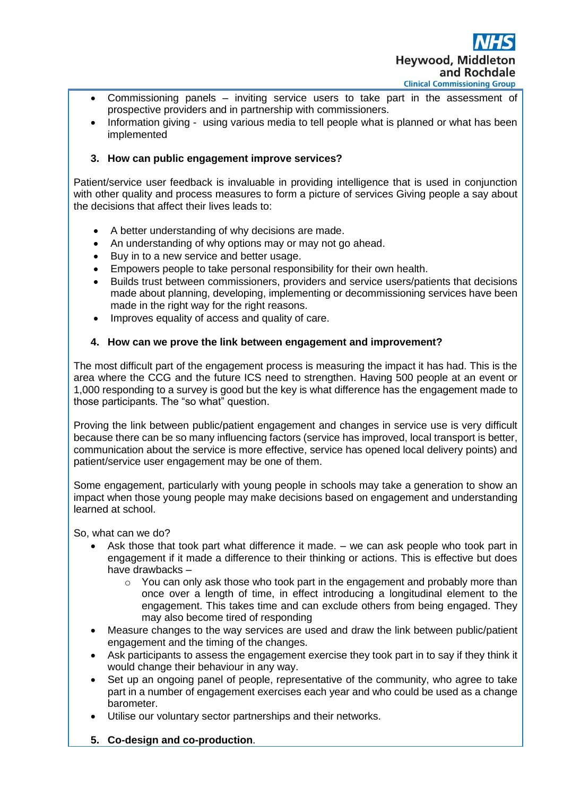

- Commissioning panels inviting service users to take part in the assessment of prospective providers and in partnership with commissioners.
- Information giving using various media to tell people what is planned or what has been implemented

## **3. How can public engagement improve services?**

Patient/service user feedback is invaluable in providing intelligence that is used in conjunction with other quality and process measures to form a picture of services Giving people a say about the decisions that affect their lives leads to:

- A better understanding of why decisions are made.
- An understanding of why options may or may not go ahead.
- Buy in to a new service and better usage.
- Empowers people to take personal responsibility for their own health.
- Builds trust between commissioners, providers and service users/patients that decisions made about planning, developing, implementing or decommissioning services have been made in the right way for the right reasons.
- Improves equality of access and quality of care.

## **4. How can we prove the link between engagement and improvement?**

The most difficult part of the engagement process is measuring the impact it has had. This is the area where the CCG and the future ICS need to strengthen. Having 500 people at an event or 1,000 responding to a survey is good but the key is what difference has the engagement made to those participants. The "so what" question.

Proving the link between public/patient engagement and changes in service use is very difficult because there can be so many influencing factors (service has improved, local transport is better, communication about the service is more effective, service has opened local delivery points) and patient/service user engagement may be one of them.

Some engagement, particularly with young people in schools may take a generation to show an impact when those young people may make decisions based on engagement and understanding learned at school.

So, what can we do?

- Ask those that took part what difference it made. we can ask people who took part in engagement if it made a difference to their thinking or actions. This is effective but does have drawbacks –
	- $\circ$  You can only ask those who took part in the engagement and probably more than once over a length of time, in effect introducing a longitudinal element to the engagement. This takes time and can exclude others from being engaged. They may also become tired of responding
- Measure changes to the way services are used and draw the link between public/patient engagement and the timing of the changes.
- Ask participants to assess the engagement exercise they took part in to say if they think it would change their behaviour in any way.
- Set up an ongoing panel of people, representative of the community, who agree to take part in a number of engagement exercises each year and who could be used as a change barometer.
- Utilise our voluntary sector partnerships and their networks.
- **5. Co-design and co-production**.